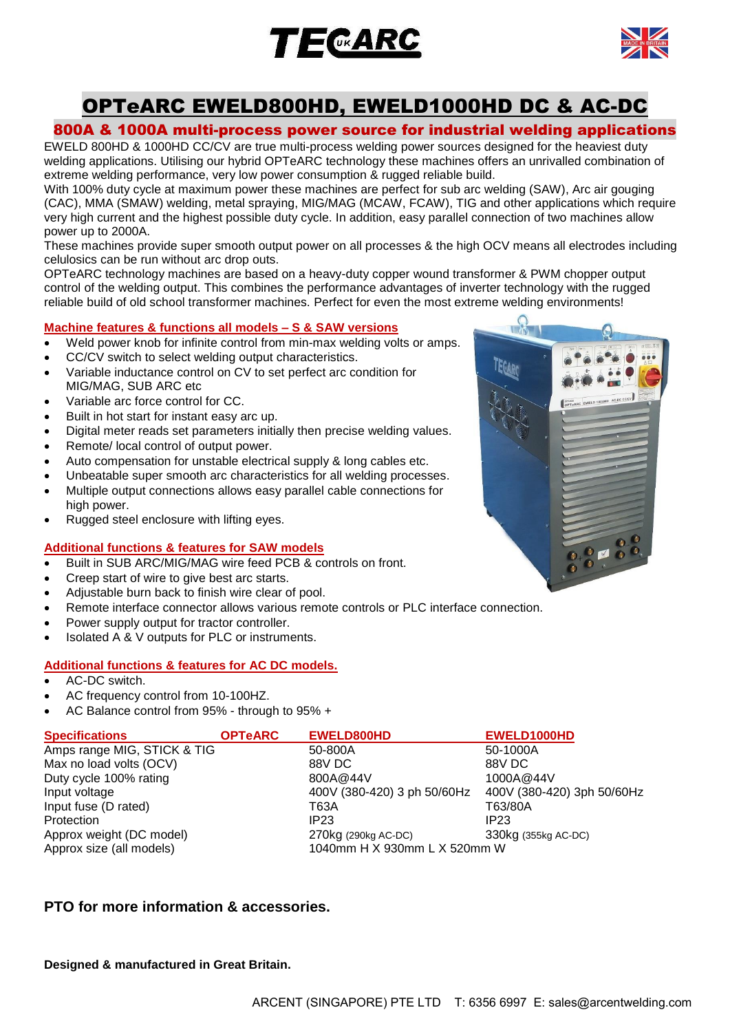



# OPTeARC EWELD800HD, EWELD1000HD DC & AC-DC

# 800A & 1000A multi-process power source for industrial welding applications

EWELD 800HD & 1000HD CC/CV are true multi-process welding power sources designed for the heaviest duty welding applications. Utilising our hybrid OPTeARC technology these machines offers an unrivalled combination of extreme welding performance, very low power consumption & rugged reliable build.

With 100% duty cycle at maximum power these machines are perfect for sub arc welding (SAW), Arc air gouging (CAC), MMA (SMAW) welding, metal spraying, MIG/MAG (MCAW, FCAW), TIG and other applications which require very high current and the highest possible duty cycle. In addition, easy parallel connection of two machines allow power up to 2000A.

These machines provide super smooth output power on all processes & the high OCV means all electrodes including celulosics can be run without arc drop outs.

OPTeARC technology machines are based on a heavy-duty copper wound transformer & PWM chopper output control of the welding output. This combines the performance advantages of inverter technology with the rugged reliable build of old school transformer machines. Perfect for even the most extreme welding environments!

## **Machine features & functions all models – S & SAW versions**

- Weld power knob for infinite control from min-max welding volts or amps.
- CC/CV switch to select welding output characteristics.
- Variable inductance control on CV to set perfect arc condition for MIG/MAG, SUB ARC etc
- Variable arc force control for CC.
- Built in hot start for instant easy arc up.
- Digital meter reads set parameters initially then precise welding values.
- Remote/ local control of output power.
- Auto compensation for unstable electrical supply & long cables etc.
- Unbeatable super smooth arc characteristics for all welding processes.
- Multiple output connections allows easy parallel cable connections for high power.
- Rugged steel enclosure with lifting eyes.

### **Additional functions & features for SAW models**

- Built in SUB ARC/MIG/MAG wire feed PCB & controls on front.
- Creep start of wire to give best arc starts.
- Adjustable burn back to finish wire clear of pool.
- Remote interface connector allows various remote controls or PLC interface connection.
- Power supply output for tractor controller.
- Isolated A & V outputs for PLC or instruments.

### **Additional functions & features for AC DC models.**

- AC-DC switch.
- AC frequency control from 10-100HZ.
- AC Balance control from 95% through to 95% +

| <b>Specifications</b>       | <b>OPTEARC</b> | EWELD800HD                   | EWELD1000HD                |
|-----------------------------|----------------|------------------------------|----------------------------|
| Amps range MIG, STICK & TIG |                | 50-800A                      | 50-1000A                   |
| Max no load volts (OCV)     |                | 88V DC                       | 88V DC                     |
| Duty cycle 100% rating      |                | 800A@44V                     | 1000A@44V                  |
| Input voltage               |                | 400V (380-420) 3 ph 50/60Hz  | 400V (380-420) 3ph 50/60Hz |
| Input fuse (D rated)        |                | T63A                         | T63/80A                    |
| Protection                  |                | IP <sub>23</sub>             | IP23                       |
| Approx weight (DC model)    |                | 270kg (290kg AC-DC)          | 330kg (355kg AC-DC)        |
| Approx size (all models)    |                | 1040mm H X 930mm L X 520mm W |                            |

# **PTO for more information & accessories.**

**Designed & manufactured in Great Britain.**